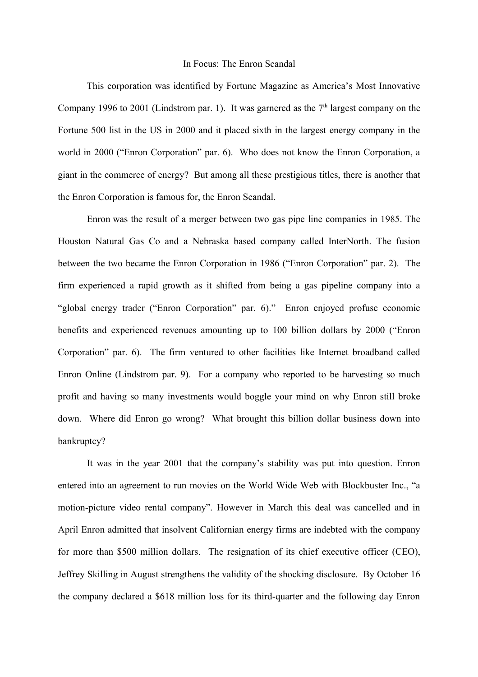## In Focus: The Enron Scandal

This corporation was identified by Fortune Magazine as America's Most Innovative Company 1996 to 2001 (Lindstrom par. 1). It was garnered as the  $7<sup>th</sup>$  largest company on the Fortune 500 list in the US in 2000 and it placed sixth in the largest energy company in the world in 2000 ("Enron Corporation" par. 6). Who does not know the Enron Corporation, a giant in the commerce of energy? But among all these prestigious titles, there is another that the Enron Corporation is famous for, the Enron Scandal.

Enron was the result of a merger between two gas pipe line companies in 1985. The Houston Natural Gas Co and a Nebraska based company called InterNorth. The fusion between the two became the Enron Corporation in 1986 ("Enron Corporation" par. 2). The firm experienced a rapid growth as it shifted from being a gas pipeline company into a "global energy trader ("Enron Corporation" par. 6)." Enron enjoyed profuse economic benefits and experienced revenues amounting up to 100 billion dollars by 2000 ("Enron Corporation" par. 6). The firm ventured to other facilities like Internet broadband called Enron Online (Lindstrom par. 9). For a company who reported to be harvesting so much profit and having so many investments would boggle your mind on why Enron still broke down. Where did Enron go wrong? What brought this billion dollar business down into bankruptcy?

It was in the year 2001 that the company's stability was put into question. Enron entered into an agreement to run movies on the World Wide Web with Blockbuster Inc., "a motion-picture video rental company". However in March this deal was cancelled and in April Enron admitted that insolvent Californian energy firms are indebted with the company for more than \$500 million dollars. The resignation of its chief executive officer (CEO), Jeffrey Skilling in August strengthens the validity of the shocking disclosure. By October 16 the company declared a \$618 million loss for its third-quarter and the following day Enron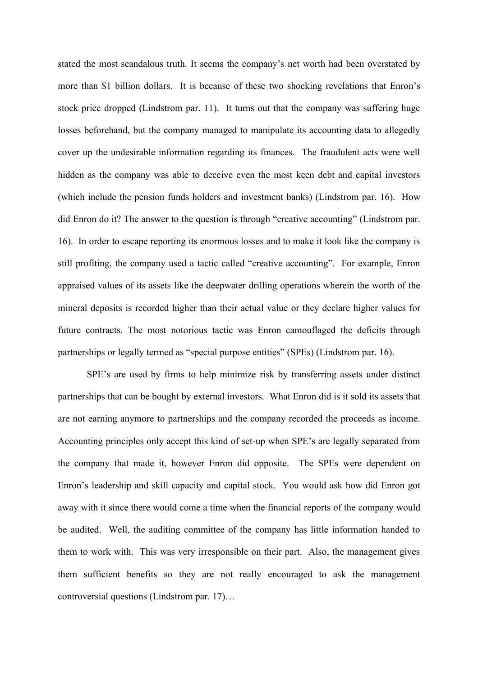stated the most scandalous truth. It seems the company's net worth had been overstated by more than \$1 billion dollars. It is because of these two shocking revelations that Enron's stock price dropped (Lindstrom par. 11). It turns out that the company was suffering huge losses beforehand, but the company managed to manipulate its accounting data to allegedly cover up the undesirable information regarding its finances. The fraudulent acts were well hidden as the company was able to deceive even the most keen debt and capital investors (which include the pension funds holders and investment banks) (Lindstrom par. 16). How did Enron do it? The answer to the question is through "creative accounting" (Lindstrom par. 16). In order to escape reporting its enormous losses and to make it look like the company is still profiting, the company used a tactic called "creative accounting". For example, Enron appraised values of its assets like the deepwater drilling operations wherein the worth of the mineral deposits is recorded higher than their actual value or they declare higher values for future contracts. The most notorious tactic was Enron camouflaged the deficits through partnerships or legally termed as "special purpose entities" (SPEs) (Lindstrom par. 16).

SPE's are used by firms to help minimize risk by transferring assets under distinct partnerships that can be bought by external investors. What Enron did is it sold its assets that are not earning anymore to partnerships and the company recorded the proceeds as income. Accounting principles only accept this kind of set-up when SPE's are legally separated from the company that made it, however Enron did opposite. The SPEs were dependent on Enron's leadership and skill capacity and capital stock. You would ask how did Enron got away with it since there would come a time when the financial reports of the company would be audited. Well, the auditing committee of the company has little information handed to them to work with. This was very irresponsible on their part. Also, the management gives them sufficient benefits so they are not really encouraged to ask the management controversial questions (Lindstrom par. 17)…